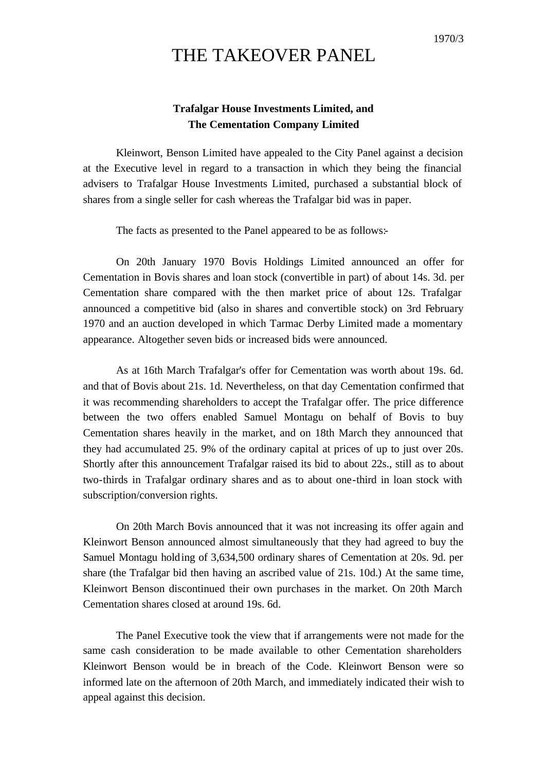## THE TAKEOVER PANEL

## **Trafalgar House Investments Limited, and The Cementation Company Limited**

Kleinwort, Benson Limited have appealed to the City Panel against a decision at the Executive level in regard to a transaction in which they being the financial advisers to Trafalgar House Investments Limited, purchased a substantial block of shares from a single seller for cash whereas the Trafalgar bid was in paper.

The facts as presented to the Panel appeared to be as follows:-

On 20th January 1970 Bovis Holdings Limited announced an offer for Cementation in Bovis shares and loan stock (convertible in part) of about 14s. 3d. per Cementation share compared with the then market price of about 12s. Trafalgar announced a competitive bid (also in shares and convertible stock) on 3rd February 1970 and an auction developed in which Tarmac Derby Limited made a momentary appearance. Altogether seven bids or increased bids were announced.

As at 16th March Trafalgar's offer for Cementation was worth about 19s. 6d. and that of Bovis about 21s. 1d. Nevertheless, on that day Cementation confirmed that it was recommending shareholders to accept the Trafalgar offer. The price difference between the two offers enabled Samuel Montagu on behalf of Bovis to buy Cementation shares heavily in the market, and on 18th March they announced that they had accumulated 25. 9% of the ordinary capital at prices of up to just over 20s. Shortly after this announcement Trafalgar raised its bid to about 22s., still as to about two-thirds in Trafalgar ordinary shares and as to about one-third in loan stock with subscription/conversion rights.

On 20th March Bovis announced that it was not increasing its offer again and Kleinwort Benson announced almost simultaneously that they had agreed to buy the Samuel Montagu holding of 3,634,500 ordinary shares of Cementation at 20s. 9d. per share (the Trafalgar bid then having an ascribed value of 21s. 10d.) At the same time, Kleinwort Benson discontinued their own purchases in the market. On 20th March Cementation shares closed at around 19s. 6d.

The Panel Executive took the view that if arrangements were not made for the same cash consideration to be made available to other Cementation shareholders Kleinwort Benson would be in breach of the Code. Kleinwort Benson were so informed late on the afternoon of 20th March, and immediately indicated their wish to appeal against this decision.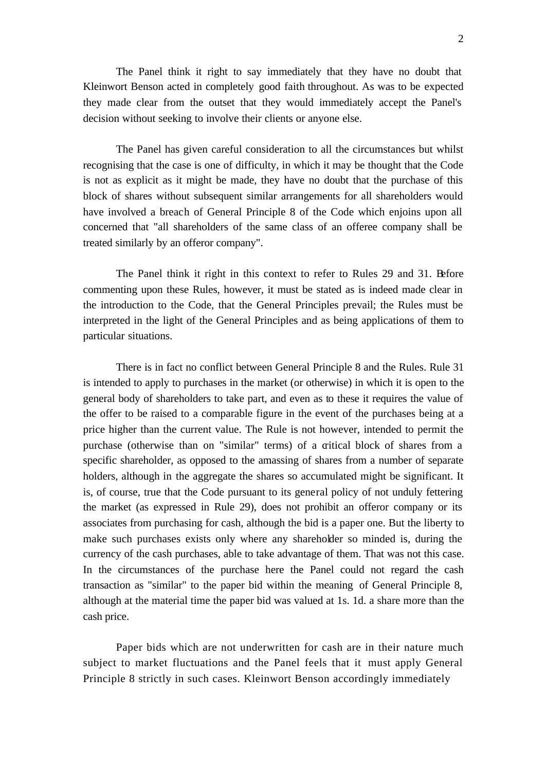The Panel think it right to say immediately that they have no doubt that Kleinwort Benson acted in completely good faith throughout. As was to be expected they made clear from the outset that they would immediately accept the Panel's decision without seeking to involve their clients or anyone else.

The Panel has given careful consideration to all the circumstances but whilst recognising that the case is one of difficulty, in which it may be thought that the Code is not as explicit as it might be made, they have no doubt that the purchase of this block of shares without subsequent similar arrangements for all shareholders would have involved a breach of General Principle 8 of the Code which enjoins upon all concerned that "all shareholders of the same class of an offeree company shall be treated similarly by an offeror company".

The Panel think it right in this context to refer to Rules 29 and 31. Before commenting upon these Rules, however, it must be stated as is indeed made clear in the introduction to the Code, that the General Principles prevail; the Rules must be interpreted in the light of the General Principles and as being applications of them to particular situations.

There is in fact no conflict between General Principle 8 and the Rules. Rule 31 is intended to apply to purchases in the market (or otherwise) in which it is open to the general body of shareholders to take part, and even as to these it requires the value of the offer to be raised to a comparable figure in the event of the purchases being at a price higher than the current value. The Rule is not however, intended to permit the purchase (otherwise than on "similar" terms) of a critical block of shares from a specific shareholder, as opposed to the amassing of shares from a number of separate holders, although in the aggregate the shares so accumulated might be significant. It is, of course, true that the Code pursuant to its general policy of not unduly fettering the market (as expressed in Rule 29), does not prohibit an offeror company or its associates from purchasing for cash, although the bid is a paper one. But the liberty to make such purchases exists only where any shareholder so minded is, during the currency of the cash purchases, able to take advantage of them. That was not this case. In the circumstances of the purchase here the Panel could not regard the cash transaction as "similar" to the paper bid within the meaning of General Principle 8, although at the material time the paper bid was valued at 1s. 1d. a share more than the cash price.

Paper bids which are not underwritten for cash are in their nature much subject to market fluctuations and the Panel feels that it must apply General Principle 8 strictly in such cases. Kleinwort Benson accordingly immediately